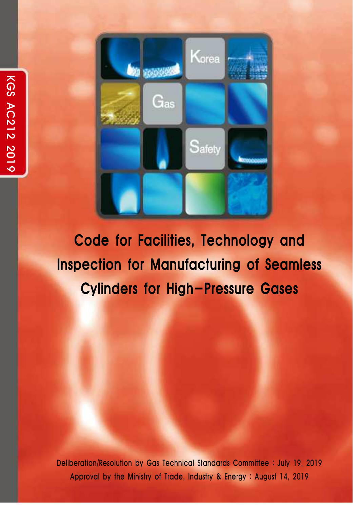

Code for Facilities, Technology and Inspection for Manufacturing of Seamless

Deliberation/Resolution by Gas Technical Standards Committee : July 19, 2019 Approval by the Ministry of Trade, Industry & Energy : August 14, 2019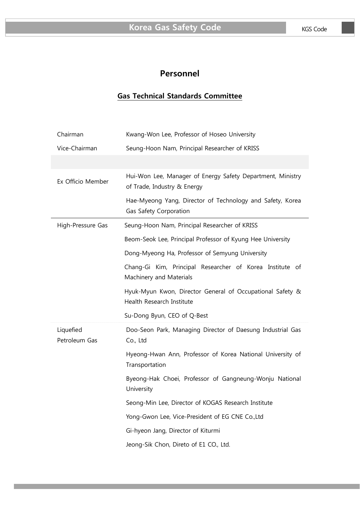# **Personnel**

## **Gas Technical Standards Committee**

| Chairman                   | Kwang-Won Lee, Professor of Hoseo University                                              |  |
|----------------------------|-------------------------------------------------------------------------------------------|--|
| Vice-Chairman              | Seung-Hoon Nam, Principal Researcher of KRISS                                             |  |
|                            |                                                                                           |  |
| Ex Officio Member          | Hui-Won Lee, Manager of Energy Safety Department, Ministry<br>of Trade, Industry & Energy |  |
|                            | Hae-Myeong Yang, Director of Technology and Safety, Korea<br>Gas Safety Corporation       |  |
| High-Pressure Gas          | Seung-Hoon Nam, Principal Researcher of KRISS                                             |  |
|                            | Beom-Seok Lee, Principal Professor of Kyung Hee University                                |  |
|                            | Dong-Myeong Ha, Professor of Semyung University                                           |  |
|                            | Chang-Gi Kim, Principal Researcher of Korea Institute of<br>Machinery and Materials       |  |
|                            | Hyuk-Myun Kwon, Director General of Occupational Safety &<br>Health Research Institute    |  |
|                            | Su-Dong Byun, CEO of Q-Best                                                               |  |
| Liquefied<br>Petroleum Gas | Doo-Seon Park, Managing Director of Daesung Industrial Gas<br>Co., Ltd                    |  |
|                            | Hyeong-Hwan Ann, Professor of Korea National University of<br>Transportation              |  |
|                            | Byeong-Hak Choei, Professor of Gangneung-Wonju National<br>University                     |  |
|                            | Seong-Min Lee, Director of KOGAS Research Institute                                       |  |
|                            | Yong-Gwon Lee, Vice-President of EG CNE Co., Ltd                                          |  |
|                            | Gi-hyeon Jang, Director of Kiturmi                                                        |  |
|                            | Jeong-Sik Chon, Direto of E1 CO., Ltd.                                                    |  |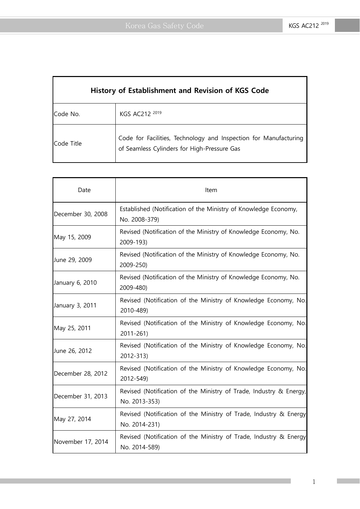| History of Establishment and Revision of KGS Code |                                                                                                                 |  |
|---------------------------------------------------|-----------------------------------------------------------------------------------------------------------------|--|
| Code No.                                          | KGS AC212 2019                                                                                                  |  |
| <b>Code Title</b>                                 | Code for Facilities, Technology and Inspection for Manufacturing<br>of Seamless Cylinders for High-Pressure Gas |  |

| Date              | Item                                                                                |  |
|-------------------|-------------------------------------------------------------------------------------|--|
| December 30, 2008 | Established (Notification of the Ministry of Knowledge Economy,<br>No. 2008-379)    |  |
| May 15, 2009      | Revised (Notification of the Ministry of Knowledge Economy, No.<br>2009-193)        |  |
| June 29, 2009     | Revised (Notification of the Ministry of Knowledge Economy, No.<br>2009-250)        |  |
| January 6, 2010   | Revised (Notification of the Ministry of Knowledge Economy, No.<br>2009-480)        |  |
| January 3, 2011   | Revised (Notification of the Ministry of Knowledge Economy, No.<br>2010-489)        |  |
| May 25, 2011      | Revised (Notification of the Ministry of Knowledge Economy, No.<br>2011-261)        |  |
| June 26, 2012     | Revised (Notification of the Ministry of Knowledge Economy, No.<br>2012-313)        |  |
| December 28, 2012 | Revised (Notification of the Ministry of Knowledge Economy, No.<br>2012-549)        |  |
| December 31, 2013 | Revised (Notification of the Ministry of Trade, Industry & Energy,<br>No. 2013-353) |  |
| May 27, 2014      | Revised (Notification of the Ministry of Trade, Industry & Energy<br>No. 2014-231)  |  |
| November 17, 2014 | Revised (Notification of the Ministry of Trade, Industry & Energy<br>No. 2014-589)  |  |

1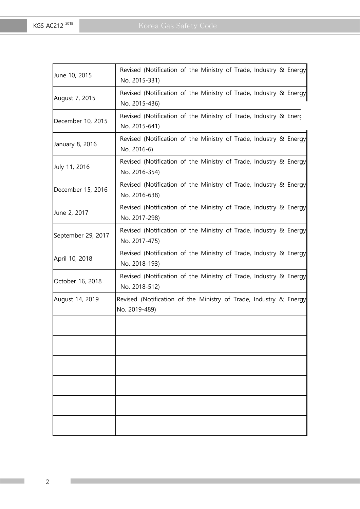| June 10, 2015      | Revised (Notification of the Ministry of Trade, Industry & Energy<br>No. 2015-331) |
|--------------------|------------------------------------------------------------------------------------|
| August 7, 2015     | Revised (Notification of the Ministry of Trade, Industry & Energy<br>No. 2015-436) |
| December 10, 2015  | Revised (Notification of the Ministry of Trade, Industry & Energ<br>No. 2015-641)  |
| January 8, 2016    | Revised (Notification of the Ministry of Trade, Industry & Energy<br>No. 2016-6)   |
| July 11, 2016      | Revised (Notification of the Ministry of Trade, Industry & Energy<br>No. 2016-354) |
| December 15, 2016  | Revised (Notification of the Ministry of Trade, Industry & Energy<br>No. 2016-638) |
| June 2, 2017       | Revised (Notification of the Ministry of Trade, Industry & Energy<br>No. 2017-298) |
| September 29, 2017 | Revised (Notification of the Ministry of Trade, Industry & Energy<br>No. 2017-475) |
| April 10, 2018     | Revised (Notification of the Ministry of Trade, Industry & Energy<br>No. 2018-193) |
| October 16, 2018   | Revised (Notification of the Ministry of Trade, Industry & Energy<br>No. 2018-512) |
| August 14, 2019    | Revised (Notification of the Ministry of Trade, Industry & Energy<br>No. 2019-489) |
|                    |                                                                                    |
|                    |                                                                                    |
|                    |                                                                                    |
|                    |                                                                                    |
|                    |                                                                                    |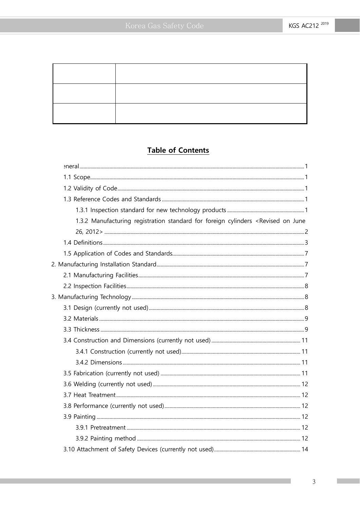# **Table of Contents**

| 1.3.2 Manufacturing registration standard for foreign cylinders <revised june<="" on="" td=""><td></td></revised> |  |
|-------------------------------------------------------------------------------------------------------------------|--|
|                                                                                                                   |  |
|                                                                                                                   |  |
|                                                                                                                   |  |
|                                                                                                                   |  |
|                                                                                                                   |  |
|                                                                                                                   |  |
|                                                                                                                   |  |
|                                                                                                                   |  |
|                                                                                                                   |  |
|                                                                                                                   |  |
|                                                                                                                   |  |
|                                                                                                                   |  |
|                                                                                                                   |  |
|                                                                                                                   |  |
|                                                                                                                   |  |
|                                                                                                                   |  |
|                                                                                                                   |  |
|                                                                                                                   |  |
|                                                                                                                   |  |
|                                                                                                                   |  |
|                                                                                                                   |  |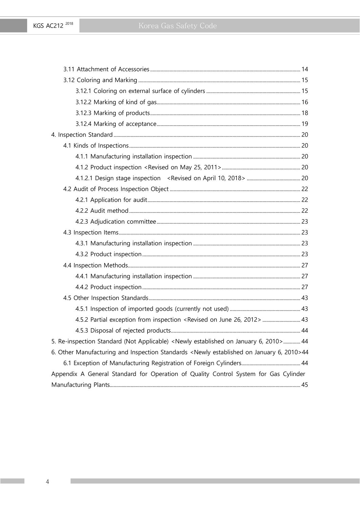KGS AC212<sup>2018</sup>

| 4.5.2 Partial exception from inspection <revised 2012="" 26,="" june="" on="">  43</revised>                    |    |
|-----------------------------------------------------------------------------------------------------------------|----|
|                                                                                                                 |    |
| 5. Re-inspection Standard (Not Applicable) <newly 2010="" 6,="" established="" january="" on=""> 44</newly>     |    |
| 6. Other Manufacturing and Inspection Standards <newly 2010="" 6,="" established="" january="" on="">44</newly> |    |
|                                                                                                                 |    |
| Appendix A General Standard for Operation of Quality Control System for Gas Cylinder                            |    |
| Manufacturing Plants                                                                                            | 45 |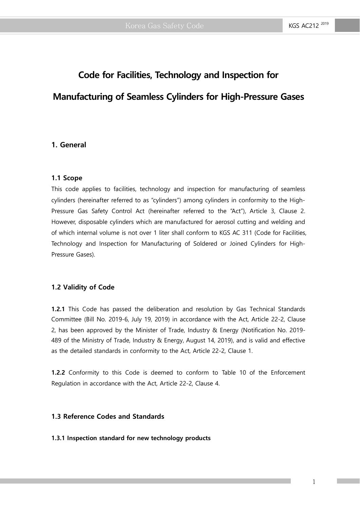# **Code for Facilities, Technology and Inspection for Manufacturing of Seamless Cylinders for High-Pressure Gases**

#### **1. General**

#### **1.1 Scope**

This code applies to facilities, technology and inspection for manufacturing of seamless cylinders (hereinafter referred to as "cylinders") among cylinders in conformity to the High-Pressure Gas Safety Control Act (hereinafter referred to the "Act"), Article 3, Clause 2. However, disposable cylinders which are manufactured for aerosol cutting and welding and of which internal volume is not over 1 liter shall conform to KGS AC 311 (Code for Facilities, Technology and Inspection for Manufacturing of Soldered or Joined Cylinders for High-Pressure Gases).

#### **1.2 Validity of Code**

**1.2.1** This Code has passed the deliberation and resolution by Gas Technical Standards Committee (Bill No. 2019-6, July 19, 2019) in accordance with the Act, Article 22-2, Clause 2, has been approved by the Minister of Trade, Industry & Energy (Notification No. 2019- 489 of the Ministry of Trade, Industry & Energy, August 14, 2019), and is valid and effective as the detailed standards in conformity to the Act, Article 22-2, Clause 1.

**1.2.2** Conformity to this Code is deemed to conform to Table 10 of the Enforcement Regulation in accordance with the Act, Article 22-2, Clause 4.

#### **1.3 Reference Codes and Standards**

#### **1.3.1 Inspection standard for new technology products**

1